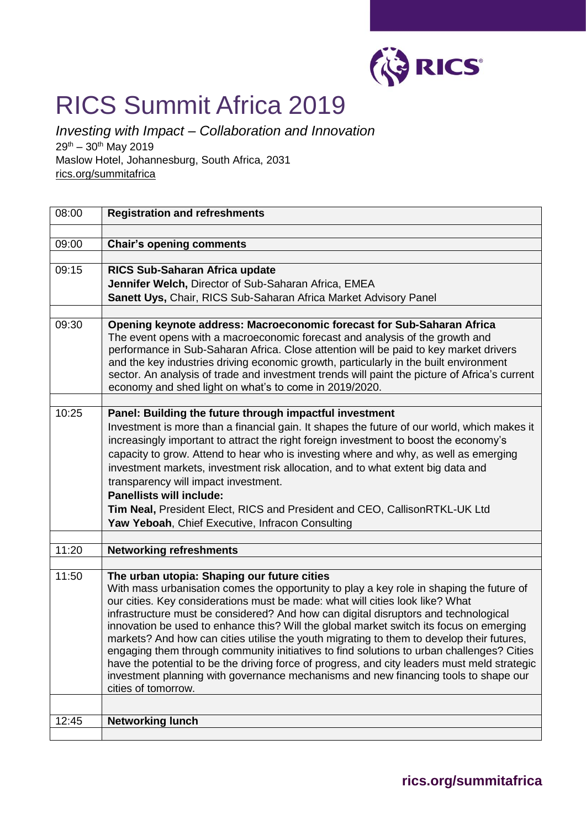

## RICS Summit Africa 2019

*Investing with Impact – Collaboration and Innovation*   $29^{th} - 30^{th}$  May 2019 Maslow Hotel, Johannesburg, South Africa, 2031 rics.org/summitafrica

| 08:00 | <b>Registration and refreshments</b>                                                                                                                                                |
|-------|-------------------------------------------------------------------------------------------------------------------------------------------------------------------------------------|
|       |                                                                                                                                                                                     |
| 09:00 | <b>Chair's opening comments</b>                                                                                                                                                     |
|       |                                                                                                                                                                                     |
| 09:15 | RICS Sub-Saharan Africa update                                                                                                                                                      |
|       | Jennifer Welch, Director of Sub-Saharan Africa, EMEA                                                                                                                                |
|       | Sanett Uys, Chair, RICS Sub-Saharan Africa Market Advisory Panel                                                                                                                    |
| 09:30 | Opening keynote address: Macroeconomic forecast for Sub-Saharan Africa                                                                                                              |
|       | The event opens with a macroeconomic forecast and analysis of the growth and                                                                                                        |
|       | performance in Sub-Saharan Africa. Close attention will be paid to key market drivers                                                                                               |
|       | and the key industries driving economic growth, particularly in the built environment                                                                                               |
|       | sector. An analysis of trade and investment trends will paint the picture of Africa's current                                                                                       |
|       | economy and shed light on what's to come in 2019/2020.                                                                                                                              |
| 10:25 | Panel: Building the future through impactful investment                                                                                                                             |
|       | Investment is more than a financial gain. It shapes the future of our world, which makes it                                                                                         |
|       | increasingly important to attract the right foreign investment to boost the economy's                                                                                               |
|       | capacity to grow. Attend to hear who is investing where and why, as well as emerging                                                                                                |
|       | investment markets, investment risk allocation, and to what extent big data and                                                                                                     |
|       | transparency will impact investment.                                                                                                                                                |
|       | <b>Panellists will include:</b>                                                                                                                                                     |
|       | Tim Neal, President Elect, RICS and President and CEO, CallisonRTKL-UK Ltd                                                                                                          |
|       | Yaw Yeboah, Chief Executive, Infracon Consulting                                                                                                                                    |
|       |                                                                                                                                                                                     |
| 11:20 | <b>Networking refreshments</b>                                                                                                                                                      |
| 11:50 |                                                                                                                                                                                     |
|       | The urban utopia: Shaping our future cities<br>With mass urbanisation comes the opportunity to play a key role in shaping the future of                                             |
|       | our cities. Key considerations must be made: what will cities look like? What                                                                                                       |
|       | infrastructure must be considered? And how can digital disruptors and technological                                                                                                 |
|       | innovation be used to enhance this? Will the global market switch its focus on emerging                                                                                             |
|       | markets? And how can cities utilise the youth migrating to them to develop their futures,                                                                                           |
|       | engaging them through community initiatives to find solutions to urban challenges? Cities                                                                                           |
|       | have the potential to be the driving force of progress, and city leaders must meld strategic<br>investment planning with governance mechanisms and new financing tools to shape our |
|       | cities of tomorrow.                                                                                                                                                                 |
|       |                                                                                                                                                                                     |
| 12:45 | <b>Networking lunch</b>                                                                                                                                                             |
|       |                                                                                                                                                                                     |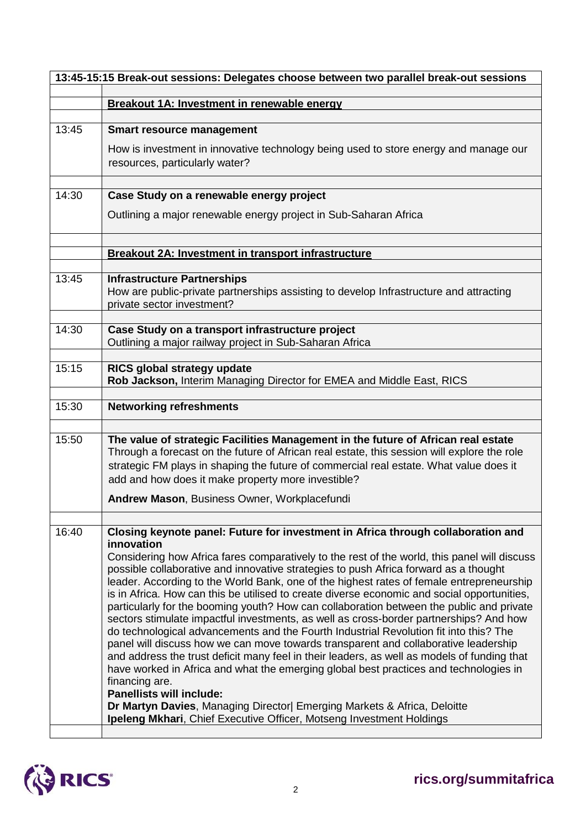| 13:45-15:15 Break-out sessions: Delegates choose between two parallel break-out sessions |                                                                                                                                                                                                                                                                                                                                                                                                                                                                                                                                                                                                                                                                                                                                                                                                                                                                                                                                                                                                                                                                                                                                                                                                                                                                 |
|------------------------------------------------------------------------------------------|-----------------------------------------------------------------------------------------------------------------------------------------------------------------------------------------------------------------------------------------------------------------------------------------------------------------------------------------------------------------------------------------------------------------------------------------------------------------------------------------------------------------------------------------------------------------------------------------------------------------------------------------------------------------------------------------------------------------------------------------------------------------------------------------------------------------------------------------------------------------------------------------------------------------------------------------------------------------------------------------------------------------------------------------------------------------------------------------------------------------------------------------------------------------------------------------------------------------------------------------------------------------|
|                                                                                          | Breakout 1A: Investment in renewable energy                                                                                                                                                                                                                                                                                                                                                                                                                                                                                                                                                                                                                                                                                                                                                                                                                                                                                                                                                                                                                                                                                                                                                                                                                     |
|                                                                                          |                                                                                                                                                                                                                                                                                                                                                                                                                                                                                                                                                                                                                                                                                                                                                                                                                                                                                                                                                                                                                                                                                                                                                                                                                                                                 |
| 13:45                                                                                    | <b>Smart resource management</b>                                                                                                                                                                                                                                                                                                                                                                                                                                                                                                                                                                                                                                                                                                                                                                                                                                                                                                                                                                                                                                                                                                                                                                                                                                |
|                                                                                          | How is investment in innovative technology being used to store energy and manage our<br>resources, particularly water?                                                                                                                                                                                                                                                                                                                                                                                                                                                                                                                                                                                                                                                                                                                                                                                                                                                                                                                                                                                                                                                                                                                                          |
| 14:30                                                                                    | Case Study on a renewable energy project                                                                                                                                                                                                                                                                                                                                                                                                                                                                                                                                                                                                                                                                                                                                                                                                                                                                                                                                                                                                                                                                                                                                                                                                                        |
|                                                                                          | Outlining a major renewable energy project in Sub-Saharan Africa                                                                                                                                                                                                                                                                                                                                                                                                                                                                                                                                                                                                                                                                                                                                                                                                                                                                                                                                                                                                                                                                                                                                                                                                |
|                                                                                          | <b>Breakout 2A: Investment in transport infrastructure</b>                                                                                                                                                                                                                                                                                                                                                                                                                                                                                                                                                                                                                                                                                                                                                                                                                                                                                                                                                                                                                                                                                                                                                                                                      |
| 13:45                                                                                    | <b>Infrastructure Partnerships</b><br>How are public-private partnerships assisting to develop Infrastructure and attracting<br>private sector investment?                                                                                                                                                                                                                                                                                                                                                                                                                                                                                                                                                                                                                                                                                                                                                                                                                                                                                                                                                                                                                                                                                                      |
| 14:30                                                                                    | Case Study on a transport infrastructure project<br>Outlining a major railway project in Sub-Saharan Africa                                                                                                                                                                                                                                                                                                                                                                                                                                                                                                                                                                                                                                                                                                                                                                                                                                                                                                                                                                                                                                                                                                                                                     |
| 15:15                                                                                    | RICS global strategy update<br>Rob Jackson, Interim Managing Director for EMEA and Middle East, RICS                                                                                                                                                                                                                                                                                                                                                                                                                                                                                                                                                                                                                                                                                                                                                                                                                                                                                                                                                                                                                                                                                                                                                            |
| 15:30                                                                                    | <b>Networking refreshments</b>                                                                                                                                                                                                                                                                                                                                                                                                                                                                                                                                                                                                                                                                                                                                                                                                                                                                                                                                                                                                                                                                                                                                                                                                                                  |
| 15:50                                                                                    | The value of strategic Facilities Management in the future of African real estate<br>Through a forecast on the future of African real estate, this session will explore the role<br>strategic FM plays in shaping the future of commercial real estate. What value does it<br>add and how does it make property more investible?                                                                                                                                                                                                                                                                                                                                                                                                                                                                                                                                                                                                                                                                                                                                                                                                                                                                                                                                |
|                                                                                          | Andrew Mason, Business Owner, Workplacefundi                                                                                                                                                                                                                                                                                                                                                                                                                                                                                                                                                                                                                                                                                                                                                                                                                                                                                                                                                                                                                                                                                                                                                                                                                    |
| 16:40                                                                                    | Closing keynote panel: Future for investment in Africa through collaboration and<br>innovation<br>Considering how Africa fares comparatively to the rest of the world, this panel will discuss<br>possible collaborative and innovative strategies to push Africa forward as a thought<br>leader. According to the World Bank, one of the highest rates of female entrepreneurship<br>is in Africa. How can this be utilised to create diverse economic and social opportunities,<br>particularly for the booming youth? How can collaboration between the public and private<br>sectors stimulate impactful investments, as well as cross-border partnerships? And how<br>do technological advancements and the Fourth Industrial Revolution fit into this? The<br>panel will discuss how we can move towards transparent and collaborative leadership<br>and address the trust deficit many feel in their leaders, as well as models of funding that<br>have worked in Africa and what the emerging global best practices and technologies in<br>financing are.<br><b>Panellists will include:</b><br>Dr Martyn Davies, Managing Director  Emerging Markets & Africa, Deloitte<br><b>Ipeleng Mkhari, Chief Executive Officer, Motseng Investment Holdings</b> |